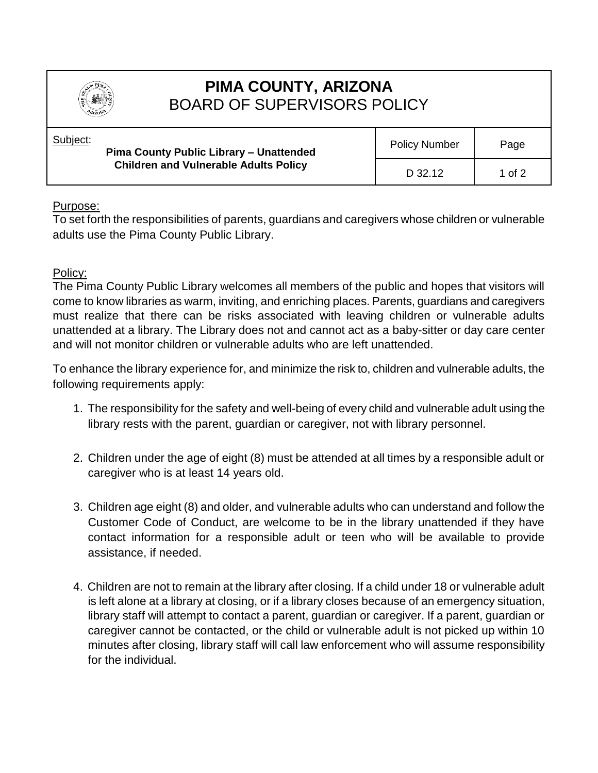

## **PIMA COUNTY, ARIZONA** BOARD OF SUPERVISORS POLICY

| Subject: | <b>Pima County Public Library - Unattended</b><br><b>Children and Vulnerable Adults Policy</b> | <b>Policy Number</b> | Page   |
|----------|------------------------------------------------------------------------------------------------|----------------------|--------|
|          |                                                                                                | D 32.12              | 1 of 2 |

## Purpose:

To set forth the responsibilities of parents, guardians and caregivers whose children or vulnerable adults use the Pima County Public Library.

## Policy:

The Pima County Public Library welcomes all members of the public and hopes that visitors will come to know libraries as warm, inviting, and enriching places. Parents, guardians and caregivers must realize that there can be risks associated with leaving children or vulnerable adults unattended at a library. The Library does not and cannot act as a baby-sitter or day care center and will not monitor children or vulnerable adults who are left unattended.

To enhance the library experience for, and minimize the risk to, children and vulnerable adults, the following requirements apply:

- 1. The responsibility for the safety and well-being of every child and vulnerable adult using the library rests with the parent, guardian or caregiver, not with library personnel.
- 2. Children under the age of eight (8) must be attended at all times by a responsible adult or caregiver who is at least 14 years old.
- 3. Children age eight (8) and older, and vulnerable adults who can understand and follow the Customer Code of Conduct, are welcome to be in the library unattended if they have contact information for a responsible adult or teen who will be available to provide assistance, if needed.
- 4. Children are not to remain at the library after closing. If a child under 18 or vulnerable adult is left alone at a library at closing, or if a library closes because of an emergency situation, library staff will attempt to contact a parent, guardian or caregiver. If a parent, guardian or caregiver cannot be contacted, or the child or vulnerable adult is not picked up within 10 minutes after closing, library staff will call law enforcement who will assume responsibility for the individual.